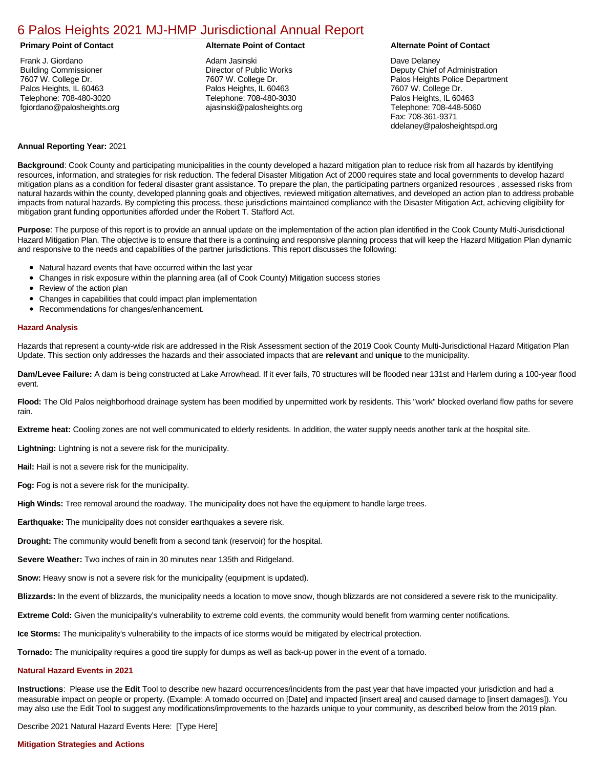# [6 Palos Heights 2021 MJ-HMP Jurisdictional Annual Report](https://palosheights.isc-cemp.com/Cemp/Details?id=8322861)

## **Primary Point of Contact Alternate Point of Contact Alternate Point of Contact**

Frank J. Giordano Building Commissioner 7607 W. College Dr. Palos Heights, IL 60463 Telephone: 708-480-3020 fgiordano@palosheights.org

Adam Jasinski Director of Public Works 7607 W. College Dr. Palos Heights, IL 60463 Telephone: 708-480-3030 ajasinski@palosheights.org

### Dave Delaney

Deputy Chief of Administration Palos Heights Police Department 7607 W. College Dr. Palos Heights, IL 60463 Telephone: 708-448-5060 Fax: 708-361-9371 ddelaney@palosheightspd.org

### **Annual Reporting Year:** 2021

**Background**: Cook County and participating municipalities in the county developed a hazard mitigation plan to reduce risk from all hazards by identifying resources, information, and strategies for risk reduction. The federal Disaster Mitigation Act of 2000 requires state and local governments to develop hazard mitigation plans as a condition for federal disaster grant assistance. To prepare the plan, the participating partners organized resources , assessed risks from natural hazards within the county, developed planning goals and objectives, reviewed mitigation alternatives, and developed an action plan to address probable impacts from natural hazards. By completing this process, these jurisdictions maintained compliance with the Disaster Mitigation Act, achieving eligibility for mitigation grant funding opportunities afforded under the Robert T. Stafford Act.

**Purpose**: The purpose of this report is to provide an annual update on the implementation of the action plan identified in the Cook County Multi-Jurisdictional Hazard Mitigation Plan. The objective is to ensure that there is a continuing and responsive planning process that will keep the Hazard Mitigation Plan dynamic and responsive to the needs and capabilities of the partner jurisdictions. This report discusses the following:

- Natural hazard events that have occurred within the last year
- Changes in risk exposure within the planning area (all of Cook County) Mitigation success stories
- $\bullet$ Review of the action plan
- Changes in capabilities that could impact plan implementation  $\bullet$
- Recommendations for changes/enhancement.

#### **Hazard Analysis**

Hazards that represent a county-wide risk are addressed in the Risk Assessment section of the 2019 Cook County Multi-Jurisdictional Hazard Mitigation Plan Update. This section only addresses the hazards and their associated impacts that are **relevant** and **unique** to the municipality.

**Dam/Levee Failure:** A dam is being constructed at Lake Arrowhead. If it ever fails, 70 structures will be flooded near 131st and Harlem during a 100-year flood event.

**Flood:** The Old Palos neighborhood drainage system has been modified by unpermitted work by residents. This "work" blocked overland flow paths for severe rain.

**Extreme heat:** Cooling zones are not well communicated to elderly residents. In addition, the water supply needs another tank at the hospital site.

**Lightning:** Lightning is not a severe risk for the municipality.

**Hail:** Hail is not a severe risk for the municipality.

**Fog:** Fog is not a severe risk for the municipality.

**High Winds:** Tree removal around the roadway. The municipality does not have the equipment to handle large trees.

**Earthquake:** The municipality does not consider earthquakes a severe risk.

**Drought:** The community would benefit from a second tank (reservoir) for the hospital.

**Severe Weather:** Two inches of rain in 30 minutes near 135th and Ridgeland.

**Snow:** Heavy snow is not a severe risk for the municipality (equipment is updated).

**Blizzards:** In the event of blizzards, the municipality needs a location to move snow, though blizzards are not considered a severe risk to the municipality.

**Extreme Cold:** Given the municipality's vulnerability to extreme cold events, the community would benefit from warming center notifications.

**Ice Storms:** The municipality's vulnerability to the impacts of ice storms would be mitigated by electrical protection.

**Tornado:** The municipality requires a good tire supply for dumps as well as back-up power in the event of a tornado.

# **Natural Hazard Events in 2021**

**Instructions**: Please use the **Edit** Tool to describe new hazard occurrences/incidents from the past year that have impacted your jurisdiction and had a measurable impact on people or property. (Example: A tornado occurred on [Date] and impacted [insert area] and caused damage to [insert damages]). You may also use the Edit Tool to suggest any modifications/improvements to the hazards unique to your community, as described below from the 2019 plan.

Describe 2021 Natural Hazard Events Here: [Type Here]

### **Mitigation Strategies and Actions**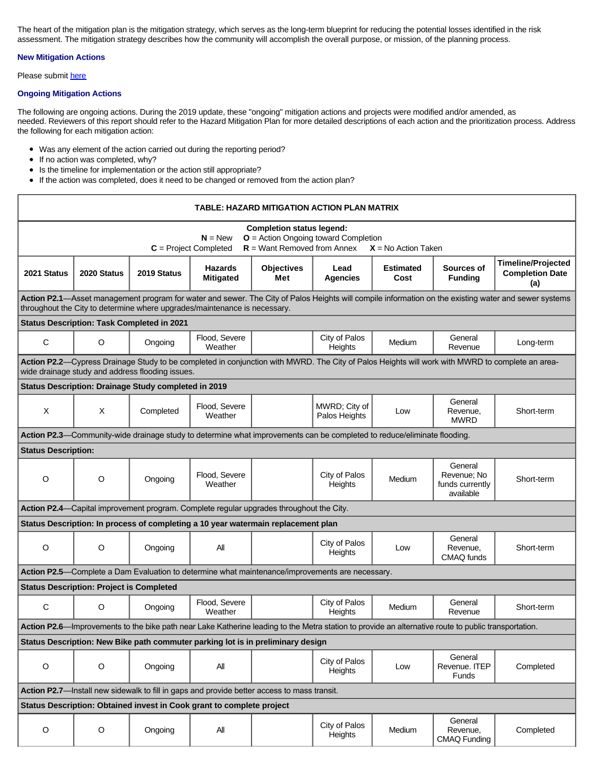The heart of the mitigation plan is the mitigation strategy, which serves as the long-term blueprint for reducing the potential losses identified in the risk assessment. The mitigation strategy describes how the community will accomplish the overall purpose, or mission, of the planning process.

# **New Mitigation Actions**

Please submit [here](https://integratedsolutions.wufoo.com/forms/mg21jvf0jn639o/)

# **Ongoing Mitigation Actions**

The following are ongoing actions. During the 2019 update, these "ongoing" mitigation actions and projects were modified and/or amended, as needed. Reviewers of this report should refer to the Hazard Mitigation Plan for more detailed descriptions of each action and the prioritization process. Address the following for each mitigation action:

- Was any element of the action carried out during the reporting period?
- If no action was completed, why?
- Is the timeline for implementation or the action still appropriate?
- If the action was completed, does it need to be changed or removed from the action plan?

| TABLE: HAZARD MITIGATION ACTION PLAN MATRIX                                                                                                                                                                                       |                                                 |                                                      |                                                                                                                         |                          |                                |                          |                                                        |                                                            |  |
|-----------------------------------------------------------------------------------------------------------------------------------------------------------------------------------------------------------------------------------|-------------------------------------------------|------------------------------------------------------|-------------------------------------------------------------------------------------------------------------------------|--------------------------|--------------------------------|--------------------------|--------------------------------------------------------|------------------------------------------------------------|--|
| <b>Completion status legend:</b><br>$O =$ Action Ongoing toward Completion<br>$N = New$<br>$R =$ Want Removed from Annex<br>$C = Project Completed$<br>$X = No$ Action Taken                                                      |                                                 |                                                      |                                                                                                                         |                          |                                |                          |                                                        |                                                            |  |
| 2021 Status                                                                                                                                                                                                                       | 2020 Status                                     | 2019 Status                                          | <b>Hazards</b><br><b>Mitigated</b>                                                                                      | <b>Objectives</b><br>Met | Lead<br><b>Agencies</b>        | <b>Estimated</b><br>Cost | Sources of<br><b>Funding</b>                           | <b>Timeline/Projected</b><br><b>Completion Date</b><br>(a) |  |
| Action P2.1-Asset management program for water and sewer. The City of Palos Heights will compile information on the existing water and sewer systems<br>throughout the City to determine where upgrades/maintenance is necessary. |                                                 |                                                      |                                                                                                                         |                          |                                |                          |                                                        |                                                            |  |
| <b>Status Description: Task Completed in 2021</b>                                                                                                                                                                                 |                                                 |                                                      |                                                                                                                         |                          |                                |                          |                                                        |                                                            |  |
| $\mathbf C$                                                                                                                                                                                                                       | $\circ$                                         | Ongoing                                              | Flood, Severe<br>Weather                                                                                                |                          | City of Palos<br>Heights       | Medium                   | General<br>Revenue                                     | Long-term                                                  |  |
| Action P2.2-Cypress Drainage Study to be completed in conjunction with MWRD. The City of Palos Heights will work with MWRD to complete an area-<br>wide drainage study and address flooding issues.                               |                                                 |                                                      |                                                                                                                         |                          |                                |                          |                                                        |                                                            |  |
|                                                                                                                                                                                                                                   |                                                 | Status Description: Drainage Study completed in 2019 |                                                                                                                         |                          |                                |                          |                                                        |                                                            |  |
| X                                                                                                                                                                                                                                 | X                                               | Completed                                            | Flood, Severe<br>Weather                                                                                                |                          | MWRD; City of<br>Palos Heights | Low                      | General<br>Revenue,<br><b>MWRD</b>                     | Short-term                                                 |  |
|                                                                                                                                                                                                                                   |                                                 |                                                      | Action P2.3—Community-wide drainage study to determine what improvements can be completed to reduce/eliminate flooding. |                          |                                |                          |                                                        |                                                            |  |
| <b>Status Description:</b>                                                                                                                                                                                                        |                                                 |                                                      |                                                                                                                         |                          |                                |                          |                                                        |                                                            |  |
| O                                                                                                                                                                                                                                 | $\circ$                                         | Ongoing                                              | Flood, Severe<br>Weather                                                                                                |                          | City of Palos<br>Heights       | Medium                   | General<br>Revenue; No<br>funds currently<br>available | Short-term                                                 |  |
| Action P2.4—Capital improvement program. Complete regular upgrades throughout the City.                                                                                                                                           |                                                 |                                                      |                                                                                                                         |                          |                                |                          |                                                        |                                                            |  |
|                                                                                                                                                                                                                                   |                                                 |                                                      | Status Description: In process of completing a 10 year watermain replacement plan                                       |                          |                                |                          |                                                        |                                                            |  |
| $\circ$                                                                                                                                                                                                                           | O                                               | Ongoing                                              | All                                                                                                                     |                          | City of Palos<br>Heights       | Low                      | General<br>Revenue,<br>CMAQ funds                      | Short-term                                                 |  |
| Action P2.5—Complete a Dam Evaluation to determine what maintenance/improvements are necessary.                                                                                                                                   |                                                 |                                                      |                                                                                                                         |                          |                                |                          |                                                        |                                                            |  |
|                                                                                                                                                                                                                                   | <b>Status Description: Project is Completed</b> |                                                      |                                                                                                                         |                          |                                |                          |                                                        |                                                            |  |
| C                                                                                                                                                                                                                                 | O                                               | Ongoing                                              | Flood, Severe<br>Weather                                                                                                |                          | City of Palos<br>Heights       | Medium                   | General<br>Revenue                                     | Short-term                                                 |  |
| Action P2.6—Improvements to the bike path near Lake Katherine leading to the Metra station to provide an alternative route to public transportation.                                                                              |                                                 |                                                      |                                                                                                                         |                          |                                |                          |                                                        |                                                            |  |
| Status Description: New Bike path commuter parking lot is in preliminary design                                                                                                                                                   |                                                 |                                                      |                                                                                                                         |                          |                                |                          |                                                        |                                                            |  |
| $\circ$                                                                                                                                                                                                                           | $\circ$                                         | Ongoing                                              | All                                                                                                                     |                          | City of Palos<br>Heights       | Low                      | General<br>Revenue. ITEP<br><b>Funds</b>               | Completed                                                  |  |
| Action P2.7-Install new sidewalk to fill in gaps and provide better access to mass transit.                                                                                                                                       |                                                 |                                                      |                                                                                                                         |                          |                                |                          |                                                        |                                                            |  |
| Status Description: Obtained invest in Cook grant to complete project                                                                                                                                                             |                                                 |                                                      |                                                                                                                         |                          |                                |                          |                                                        |                                                            |  |
| $\mathsf O$                                                                                                                                                                                                                       | O                                               | Ongoing                                              | All                                                                                                                     |                          | City of Palos<br>Heights       | Medium                   | General<br>Revenue,<br><b>CMAQ Funding</b>             | Completed                                                  |  |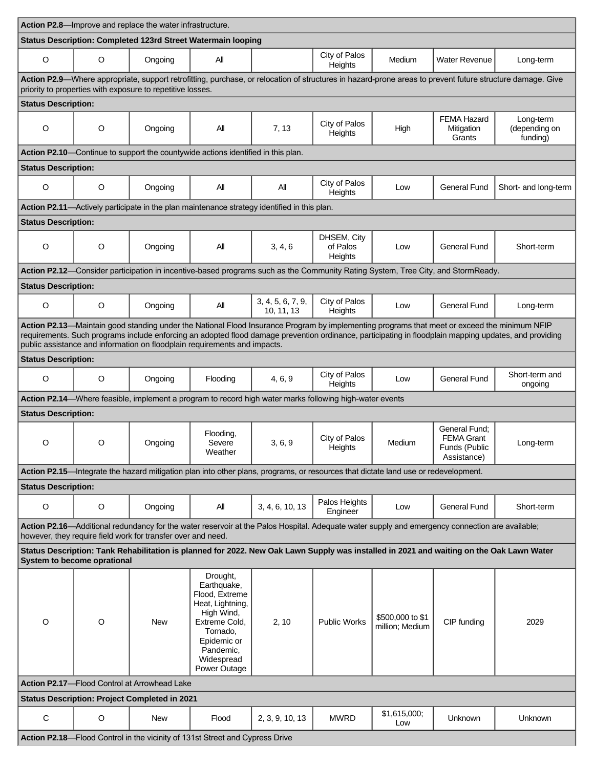| Action P2.8-Improve and replace the water infrastructure.                                                                                                                                                                                                                                                                                                                           |             |                                                      |                                                                                                                                                                    |                                                                                                                                    |                                    |                                     |                                                                                                                                                 |                                        |
|-------------------------------------------------------------------------------------------------------------------------------------------------------------------------------------------------------------------------------------------------------------------------------------------------------------------------------------------------------------------------------------|-------------|------------------------------------------------------|--------------------------------------------------------------------------------------------------------------------------------------------------------------------|------------------------------------------------------------------------------------------------------------------------------------|------------------------------------|-------------------------------------|-------------------------------------------------------------------------------------------------------------------------------------------------|----------------------------------------|
| Status Description: Completed 123rd Street Watermain looping                                                                                                                                                                                                                                                                                                                        |             |                                                      |                                                                                                                                                                    |                                                                                                                                    |                                    |                                     |                                                                                                                                                 |                                        |
| O                                                                                                                                                                                                                                                                                                                                                                                   | O           | Ongoing                                              | All                                                                                                                                                                |                                                                                                                                    | City of Palos<br>Heights           | Medium                              | <b>Water Revenue</b>                                                                                                                            | Long-term                              |
| Action P2.9—Where appropriate, support retrofitting, purchase, or relocation of structures in hazard-prone areas to prevent future structure damage. Give<br>priority to properties with exposure to repetitive losses.                                                                                                                                                             |             |                                                      |                                                                                                                                                                    |                                                                                                                                    |                                    |                                     |                                                                                                                                                 |                                        |
| <b>Status Description:</b>                                                                                                                                                                                                                                                                                                                                                          |             |                                                      |                                                                                                                                                                    |                                                                                                                                    |                                    |                                     |                                                                                                                                                 |                                        |
| O                                                                                                                                                                                                                                                                                                                                                                                   | $\circ$     | Ongoing                                              | All                                                                                                                                                                | 7, 13                                                                                                                              | City of Palos<br>Heights           | High                                | <b>FEMA Hazard</b><br>Mitigation<br>Grants                                                                                                      | Long-term<br>(depending on<br>funding) |
|                                                                                                                                                                                                                                                                                                                                                                                     |             |                                                      | Action P2.10—Continue to support the countywide actions identified in this plan.                                                                                   |                                                                                                                                    |                                    |                                     |                                                                                                                                                 |                                        |
| <b>Status Description:</b>                                                                                                                                                                                                                                                                                                                                                          |             |                                                      |                                                                                                                                                                    |                                                                                                                                    |                                    |                                     |                                                                                                                                                 |                                        |
| O                                                                                                                                                                                                                                                                                                                                                                                   | O           | Ongoing                                              | All                                                                                                                                                                | Αll                                                                                                                                | City of Palos<br>Heights           | Low                                 | <b>General Fund</b>                                                                                                                             | Short- and long-term                   |
|                                                                                                                                                                                                                                                                                                                                                                                     |             |                                                      |                                                                                                                                                                    | Action P2.11-Actively participate in the plan maintenance strategy identified in this plan.                                        |                                    |                                     |                                                                                                                                                 |                                        |
| <b>Status Description:</b>                                                                                                                                                                                                                                                                                                                                                          |             |                                                      |                                                                                                                                                                    |                                                                                                                                    |                                    |                                     |                                                                                                                                                 |                                        |
| O                                                                                                                                                                                                                                                                                                                                                                                   | $\circ$     | Ongoing                                              | All                                                                                                                                                                | 3, 4, 6                                                                                                                            | DHSEM, City<br>of Palos<br>Heights | Low                                 | <b>General Fund</b>                                                                                                                             | Short-term                             |
|                                                                                                                                                                                                                                                                                                                                                                                     |             |                                                      |                                                                                                                                                                    |                                                                                                                                    |                                    |                                     | Action P2.12-Consider participation in incentive-based programs such as the Community Rating System, Tree City, and StormReady.                 |                                        |
| <b>Status Description:</b>                                                                                                                                                                                                                                                                                                                                                          |             |                                                      |                                                                                                                                                                    |                                                                                                                                    |                                    |                                     |                                                                                                                                                 |                                        |
| O                                                                                                                                                                                                                                                                                                                                                                                   | $\circ$     | Ongoing                                              | All                                                                                                                                                                | 3, 4, 5, 6, 7, 9,<br>10, 11, 13                                                                                                    | City of Palos<br>Heights           | Low                                 | <b>General Fund</b>                                                                                                                             | Long-term                              |
| Action P2.13-Maintain good standing under the National Flood Insurance Program by implementing programs that meet or exceed the minimum NFIP<br>requirements. Such programs include enforcing an adopted flood damage prevention ordinance, participating in floodplain mapping updates, and providing<br>public assistance and information on floodplain requirements and impacts. |             |                                                      |                                                                                                                                                                    |                                                                                                                                    |                                    |                                     |                                                                                                                                                 |                                        |
| <b>Status Description:</b>                                                                                                                                                                                                                                                                                                                                                          |             |                                                      |                                                                                                                                                                    |                                                                                                                                    |                                    |                                     |                                                                                                                                                 |                                        |
| O                                                                                                                                                                                                                                                                                                                                                                                   | O           | Ongoing                                              | Flooding                                                                                                                                                           | 4, 6, 9                                                                                                                            | City of Palos<br>Heights           | Low                                 | <b>General Fund</b>                                                                                                                             | Short-term and<br>ongoing              |
| Action P2.14—Where feasible, implement a program to record high water marks following high-water events                                                                                                                                                                                                                                                                             |             |                                                      |                                                                                                                                                                    |                                                                                                                                    |                                    |                                     |                                                                                                                                                 |                                        |
| <b>Status Description:</b>                                                                                                                                                                                                                                                                                                                                                          |             |                                                      |                                                                                                                                                                    |                                                                                                                                    |                                    |                                     |                                                                                                                                                 |                                        |
| O                                                                                                                                                                                                                                                                                                                                                                                   | O           | Ongoing                                              | Flooding,<br>Severe<br>Weather                                                                                                                                     | 3, 6, 9                                                                                                                            | City of Palos<br>Heights           | Medium                              | General Fund:<br><b>FEMA Grant</b><br>Funds (Public<br>Assistance)                                                                              | Long-term                              |
|                                                                                                                                                                                                                                                                                                                                                                                     |             |                                                      |                                                                                                                                                                    | Action P2.15—Integrate the hazard mitigation plan into other plans, programs, or resources that dictate land use or redevelopment. |                                    |                                     |                                                                                                                                                 |                                        |
| <b>Status Description:</b>                                                                                                                                                                                                                                                                                                                                                          |             |                                                      |                                                                                                                                                                    |                                                                                                                                    |                                    |                                     |                                                                                                                                                 |                                        |
| O                                                                                                                                                                                                                                                                                                                                                                                   | $\circ$     | Ongoing                                              | All                                                                                                                                                                | 3, 4, 6, 10, 13                                                                                                                    | Palos Heights<br>Engineer          | Low                                 | <b>General Fund</b>                                                                                                                             | Short-term                             |
|                                                                                                                                                                                                                                                                                                                                                                                     |             |                                                      |                                                                                                                                                                    |                                                                                                                                    |                                    |                                     | Action P2.16—Additional redundancy for the water reservoir at the Palos Hospital. Adequate water supply and emergency connection are available; |                                        |
| however, they require field work for transfer over and need.<br>Status Description: Tank Rehabilitation is planned for 2022. New Oak Lawn Supply was installed in 2021 and waiting on the Oak Lawn Water                                                                                                                                                                            |             |                                                      |                                                                                                                                                                    |                                                                                                                                    |                                    |                                     |                                                                                                                                                 |                                        |
| System to become oprational                                                                                                                                                                                                                                                                                                                                                         |             |                                                      |                                                                                                                                                                    |                                                                                                                                    |                                    |                                     |                                                                                                                                                 |                                        |
| O                                                                                                                                                                                                                                                                                                                                                                                   | O           | <b>New</b>                                           | Drought,<br>Earthquake,<br>Flood, Extreme<br>Heat, Lightning,<br>High Wind,<br>Extreme Cold,<br>Tornado,<br>Epidemic or<br>Pandemic,<br>Widespread<br>Power Outage | 2, 10                                                                                                                              | <b>Public Works</b>                | \$500,000 to \$1<br>million; Medium | CIP funding                                                                                                                                     | 2029                                   |
| Action P2.17-Flood Control at Arrowhead Lake                                                                                                                                                                                                                                                                                                                                        |             |                                                      |                                                                                                                                                                    |                                                                                                                                    |                                    |                                     |                                                                                                                                                 |                                        |
|                                                                                                                                                                                                                                                                                                                                                                                     |             | <b>Status Description: Project Completed in 2021</b> |                                                                                                                                                                    |                                                                                                                                    |                                    |                                     |                                                                                                                                                 |                                        |
| $\mathbf C$                                                                                                                                                                                                                                                                                                                                                                         | $\mathsf O$ | New                                                  | Flood                                                                                                                                                              | 2, 3, 9, 10, 13                                                                                                                    | <b>MWRD</b>                        | \$1,615,000;<br>Low                 | Unknown                                                                                                                                         | Unknown                                |
|                                                                                                                                                                                                                                                                                                                                                                                     |             |                                                      | Action P2.18-Flood Control in the vicinity of 131st Street and Cypress Drive                                                                                       |                                                                                                                                    |                                    |                                     |                                                                                                                                                 |                                        |